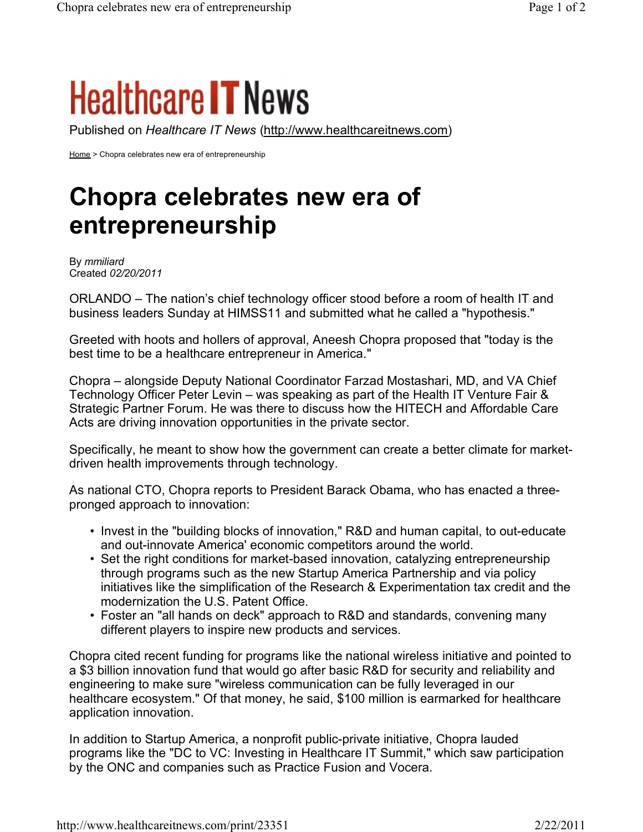## **Healthcare IT News**

Published on *Healthcare IT News* (http://www.healthcareitnews.com)

Home > Chopra celebrates new era of entrepreneurship

## **Chopra celebrates new era of entrepreneurship**

By *mmiliard* Created *02/20/2011*

ORLANDO – The nation's chief technology officer stood before a room of health IT and business leaders Sunday at HIMSS11 and submitted what he called a "hypothesis."

Greeted with hoots and hollers of approval, Aneesh Chopra proposed that "today is the best time to be a healthcare entrepreneur in America."

Chopra – alongside Deputy National Coordinator Farzad Mostashari, MD, and VA Chief Technology Officer Peter Levin – was speaking as part of the Health IT Venture Fair & Strategic Partner Forum. He was there to discuss how the HITECH and Affordable Care Acts are driving innovation opportunities in the private sector.

Specifically, he meant to show how the government can create a better climate for marketdriven health improvements through technology.

As national CTO, Chopra reports to President Barack Obama, who has enacted a threepronged approach to innovation:

- Invest in the "building blocks of innovation," R&D and human capital, to out-educate and out-innovate America' economic competitors around the world.
- Set the right conditions for market-based innovation, catalyzing entrepreneurship through programs such as the new Startup America Partnership and via policy initiatives like the simplification of the Research & Experimentation tax credit and the modernization the U.S. Patent Office.
- Foster an "all hands on deck" approach to R&D and standards, convening many different players to inspire new products and services.

Chopra cited recent funding for programs like the national wireless initiative and pointed to a \$3 billion innovation fund that would go after basic R&D for security and reliability and engineering to make sure "wireless communication can be fully leveraged in our healthcare ecosystem." Of that money, he said, \$100 million is earmarked for healthcare application innovation.

In addition to Startup America, a nonprofit public-private initiative, Chopra lauded programs like the "DC to VC: Investing in Healthcare IT Summit," which saw participation by the ONC and companies such as Practice Fusion and Vocera.